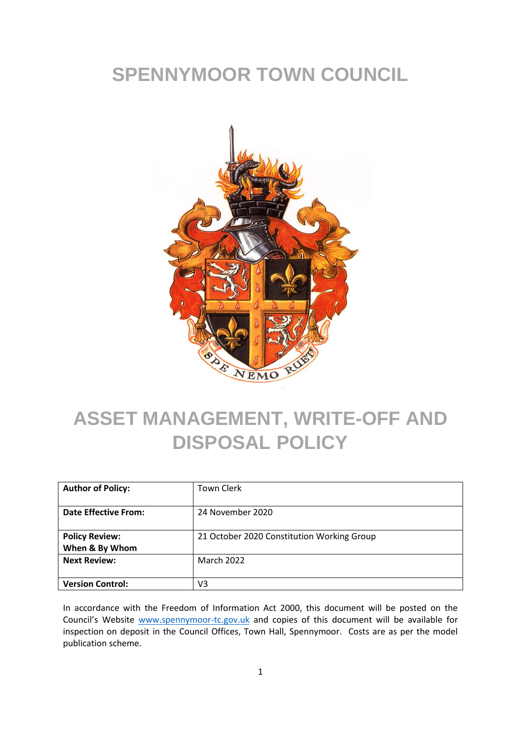# **SPENNYMOOR TOWN COUNCIL**



# **ASSET MANAGEMENT, WRITE-OFF AND DISPOSAL POLICY**

| <b>Author of Policy:</b>                | <b>Town Clerk</b>                          |
|-----------------------------------------|--------------------------------------------|
| <b>Date Effective From:</b>             | 24 November 2020                           |
| <b>Policy Review:</b><br>When & By Whom | 21 October 2020 Constitution Working Group |
| <b>Next Review:</b>                     | <b>March 2022</b>                          |
| <b>Version Control:</b>                 | V3                                         |

In accordance with the Freedom of Information Act 2000, this document will be posted on the Council's Website [www.spennymoor-tc.gov.uk](http://www.spennymoor-tc.gov.uk/) and copies of this document will be available for inspection on deposit in the Council Offices, Town Hall, Spennymoor. Costs are as per the model publication scheme.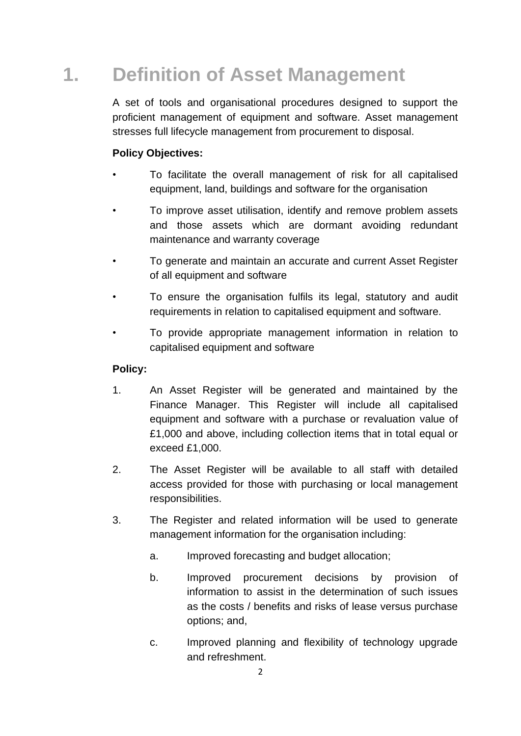# **1. Definition of Asset Management**

A set of tools and organisational procedures designed to support the proficient management of equipment and software. Asset management stresses full lifecycle management from procurement to disposal.

#### **Policy Objectives:**

- To facilitate the overall management of risk for all capitalised equipment, land, buildings and software for the organisation
- To improve asset utilisation, identify and remove problem assets and those assets which are dormant avoiding redundant maintenance and warranty coverage
- To generate and maintain an accurate and current Asset Register of all equipment and software
- To ensure the organisation fulfils its legal, statutory and audit requirements in relation to capitalised equipment and software.
- To provide appropriate management information in relation to capitalised equipment and software

#### **Policy:**

- 1. An Asset Register will be generated and maintained by the Finance Manager. This Register will include all capitalised equipment and software with a purchase or revaluation value of £1,000 and above, including collection items that in total equal or exceed £1,000.
- 2. The Asset Register will be available to all staff with detailed access provided for those with purchasing or local management responsibilities.
- 3. The Register and related information will be used to generate management information for the organisation including:
	- a. Improved forecasting and budget allocation;
	- b. Improved procurement decisions by provision of information to assist in the determination of such issues as the costs / benefits and risks of lease versus purchase options; and,
	- c. Improved planning and flexibility of technology upgrade and refreshment.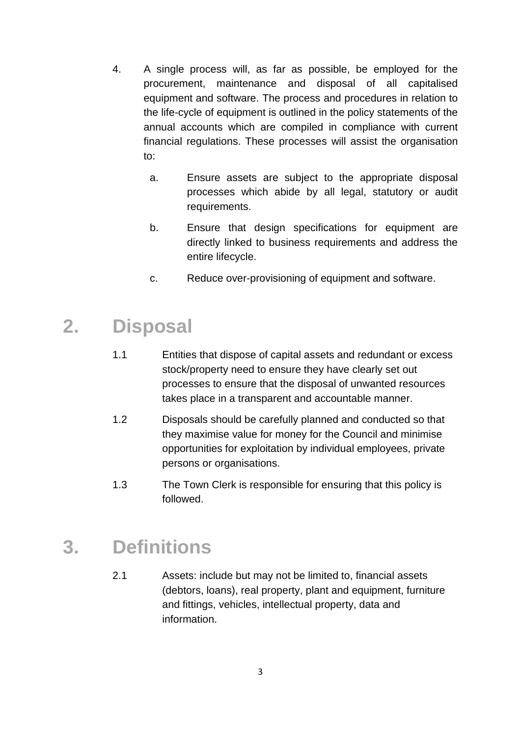- 4. A single process will, as far as possible, be employed for the procurement, maintenance and disposal of all capitalised equipment and software. The process and procedures in relation to the life-cycle of equipment is outlined in the policy statements of the annual accounts which are compiled in compliance with current financial regulations. These processes will assist the organisation to:
	- a. Ensure assets are subject to the appropriate disposal processes which abide by all legal, statutory or audit requirements.
	- b. Ensure that design specifications for equipment are directly linked to business requirements and address the entire lifecycle.
	- c. Reduce over-provisioning of equipment and software.

### **2. Disposal**

- 1.1 Entities that dispose of capital assets and redundant or excess stock/property need to ensure they have clearly set out processes to ensure that the disposal of unwanted resources takes place in a transparent and accountable manner.
- 1.2 Disposals should be carefully planned and conducted so that they maximise value for money for the Council and minimise opportunities for exploitation by individual employees, private persons or organisations.
- 1.3 The Town Clerk is responsible for ensuring that this policy is followed.

### **3. Definitions**

2.1 Assets: include but may not be limited to, financial assets (debtors, loans), real property, plant and equipment, furniture and fittings, vehicles, intellectual property, data and information.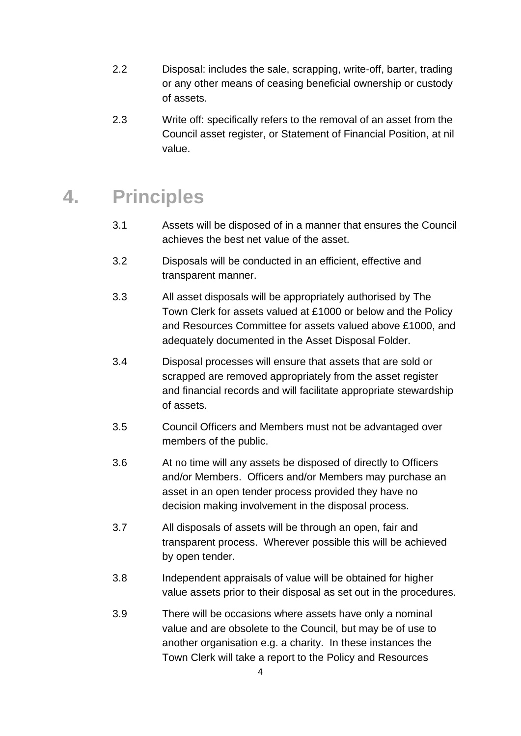- 2.2 Disposal: includes the sale, scrapping, write-off, barter, trading or any other means of ceasing beneficial ownership or custody of assets.
- 2.3 Write off: specifically refers to the removal of an asset from the Council asset register, or Statement of Financial Position, at nil value.

### **4. Principles**

- 3.1 Assets will be disposed of in a manner that ensures the Council achieves the best net value of the asset.
- 3.2 Disposals will be conducted in an efficient, effective and transparent manner.
- 3.3 All asset disposals will be appropriately authorised by The Town Clerk for assets valued at £1000 or below and the Policy and Resources Committee for assets valued above £1000, and adequately documented in the Asset Disposal Folder.
- 3.4 Disposal processes will ensure that assets that are sold or scrapped are removed appropriately from the asset register and financial records and will facilitate appropriate stewardship of assets.
- 3.5 Council Officers and Members must not be advantaged over members of the public.
- 3.6 At no time will any assets be disposed of directly to Officers and/or Members. Officers and/or Members may purchase an asset in an open tender process provided they have no decision making involvement in the disposal process.
- 3.7 All disposals of assets will be through an open, fair and transparent process. Wherever possible this will be achieved by open tender.
- 3.8 Independent appraisals of value will be obtained for higher value assets prior to their disposal as set out in the procedures.
- 3.9 There will be occasions where assets have only a nominal value and are obsolete to the Council, but may be of use to another organisation e.g. a charity. In these instances the Town Clerk will take a report to the Policy and Resources